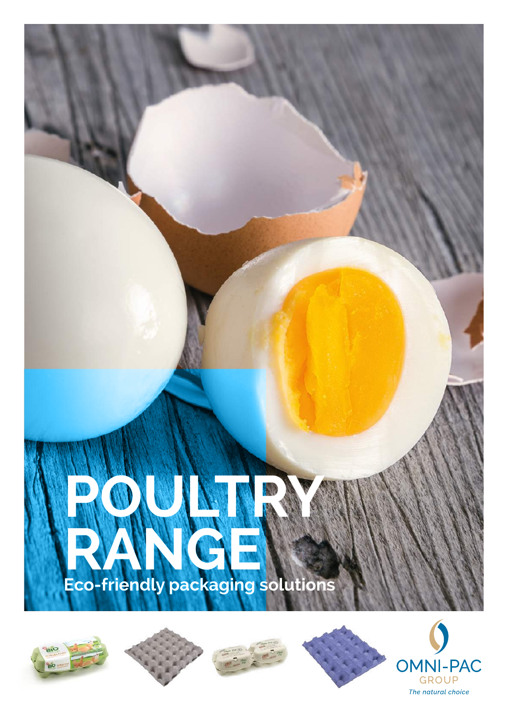







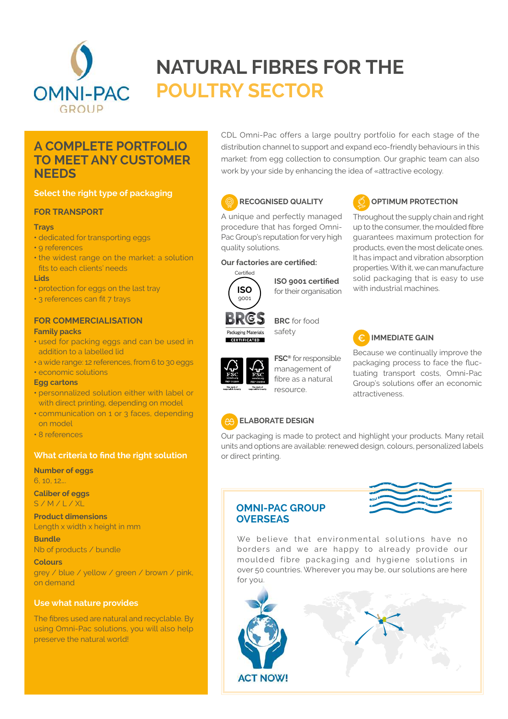

## **NATURAL FIBRES FOR THE POULTRY SECTOR**

### **A COMPLETE PORTFOLIO TO MEET ANY CUSTOMER NEEDS**

#### **Select the right type of packaging**

#### **FOR TRANSPORT**

#### **Trays**

- dedicated for transporting eggs
- 9 references
- the widest range on the market: a solution fits to each clients' needs

#### **Lids**

- protection for eggs on the last tray
- 3 references can fit 7 trays

## **FOR COMMERCIALISATION**

#### **Family packs**

- used for packing eggs and can be used in addition to a labelled lid
- a wide range: 12 references, from 6 to 30 eggs

#### **•** economic solutions

#### **Egg cartons**

- personnalized solution either with label or with direct printing, depending on model
- communication on 1 or 3 faces, depending on model
- 8 references

#### **What criteria to find the right solution**

#### **Number of eggs**  6, 10, 12….

**Caliber of eggs** S / M / L / XL

**Product dimensions** Length x width x height in mm

**Bundle** Nb of products / bundle

**Colours** grey / blue / yellow / green / brown / pink, on demand

#### **Use what nature provides**

The fibres used are natural and recyclable. By using Omni-Pac solutions, you will also help preserve the natural world!

CDL Omni-Pac offers a large poultry portfolio for each stage of the distribution channel to support and expand eco-friendly behaviours in this market: from egg collection to consumption. Our graphic team can also work by your side by enhancing the idea of «attractive ecology.





#### **OPTIMUM PROTECTION**

properties. With it, we can manufacture solid packaging that is easy to use

Throughout the supply chain and right up to the consumer, the moulded fibre guarantees maximum protection for products, even the most delicate ones. It has impact and vibration absorption A unique and perfectly managed procedure that has forged Omni-Pac Group's reputation for very high quality solutions.

#### **Our factories are certified:**



**ISO 9001 certified**  for their organisation



**BRC** for food safety



**FSC®** for responsible management of fibre as a natural resource.

with industrial machines.

## **IMMEDIATE GAIN**

Because we continually improve the packaging process to face the fluctuating transport costs, Omni-Pac Group's solutions offer an economic attractiveness.

#### **ELABORATE DESIGN**

Our packaging is made to protect and highlight your products. Many retail units and options are available: renewed design, colours, personalized labels or direct printing.

#### **OMNI-PAC GROUP OVERSEAS**



We believe that environmental solutions have no borders and we are happy to already provide our moulded fibre packaging and hygiene solutions in over 50 countries. Wherever you may be, our solutions are here for you.

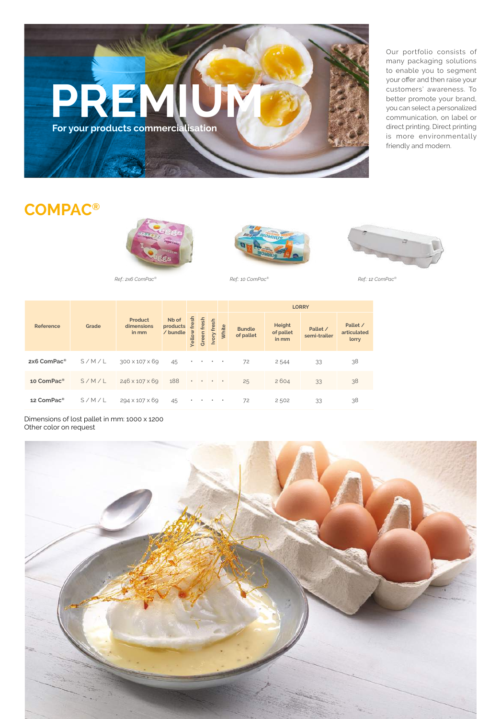# **PREMIUM For your products commercialisation**

Our portfolio consists of many packaging solutions to enable you to segment your offer and then raise your customers' awareness. To better promote your brand, you can select a personalized communication, on label or direct printing. Direct printing is more environmentally friendly and modern.

## **COMPAC®**







*Ref.: 2x6 ComPac® Ref.: 10 ComPac® Ref.: 12 ComPac®*



| Reference               | Grade | <b>Product</b><br>dimensions<br>in mm | Nb of<br>products<br>/ bundle | fres<br><b>/ellow</b> | fresh<br>Green | fresh<br>Ivory                                                                                                            | White     | <b>Bundle</b><br>of pallet | Height<br>of pallet<br>in mm | Pallet /<br>semi-trailer | Pallet /<br>articulated<br>lorry |
|-------------------------|-------|---------------------------------------|-------------------------------|-----------------------|----------------|---------------------------------------------------------------------------------------------------------------------------|-----------|----------------------------|------------------------------|--------------------------|----------------------------------|
| 2x6 ComPac <sup>®</sup> | S/M/L | 300 x 107 x 69                        | 45                            |                       | $\bullet$      |                                                                                                                           | $\bullet$ | 72                         | 2544                         | 33                       | 38                               |
| 10 ComPac <sup>®</sup>  | S/M/L | 246 x 107 x 69                        | 188                           |                       |                | $\begin{array}{cccccccccccccc} \bullet & \bullet & \bullet & \bullet & \bullet & \bullet & \bullet & \bullet \end{array}$ |           | 25                         | 2604                         | 33                       | 38                               |
| 12 ComPac <sup>®</sup>  | S/M/L | 294 x 107 x 69                        | 45                            | ٠                     |                |                                                                                                                           | $\bullet$ | 72                         | 2502                         | 33                       | 38                               |

Dimensions of lost pallet in mm: 1000 x 1200 Other color on request

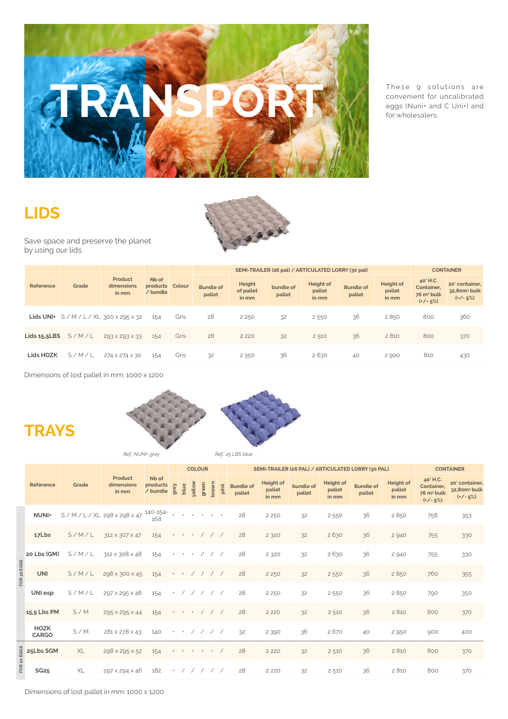

These 9 solutions are convenient for uncalibrated eggs (Nuni+ and C Uni+) and for wholesalers.

## **LIDS**

**TRAYS**



Save space and preserve the planet by using our lids.

|                 |       |                                     |                                      |      |                            |                              | SEMI-TRAILER (26 pal) / ARTICULATED LORRY (30 pal) |                              |                            |                                     |                                                                | <b>CONTAINER</b>                                        |
|-----------------|-------|-------------------------------------|--------------------------------------|------|----------------------------|------------------------------|----------------------------------------------------|------------------------------|----------------------------|-------------------------------------|----------------------------------------------------------------|---------------------------------------------------------|
| Reference       | Grade | Product<br>dimensions<br>in mm      | Nb of<br>products Colour<br>/ bundle |      | <b>Bundle of</b><br>pallet | Height<br>of pallet<br>in mm | bundle of<br>pallet                                | Height of<br>pallet<br>in mm | <b>Bundle of</b><br>pallet | <b>Height of</b><br>pallet<br>in mm | 40' H.C.<br>Container,<br>76 m <sup>3</sup> bulk<br>$(*/- 5%)$ | 20' container,<br>32.80m <sup>3</sup> bulk<br>$(*/-5%)$ |
|                 |       | Lids UNI+ $S/M/L/XL$ 300 x 295 x 32 | 154                                  | Gris | 28                         | 2 2 5 0                      | 32                                                 | 2 5 5 0                      | 36                         | 2850                                | 800                                                            | 360                                                     |
| Lids $15.5$ LBS | S/M/L | 293 × 293 × 33                      | 154                                  | Gris | 28                         | 2 2 2 0                      | 32                                                 | 2510                         | 36                         | 2 8 10                              | 800                                                            | 370                                                     |
| Lids HOZK       | S/M/L | 274 × 274 × 30                      | 154                                  | Gris | 32                         | 2 3 5 0                      | 36                                                 | 2630                         | 40                         | 2 900                               | 810                                                            | 430                                                     |

Dimensions of lost pallet in mm: 1000 x 1200



*Ref.: NUNI+ grey Ref.: 25 LBS blue*

|     |                      | Grade | Product<br>dimensions<br>in mm |                               | <b>COLOUR</b>                |                  |            |                                                                                                 |                  |                      |                            | SEMI-TRAILER (26 PAL) / ARTICULATED LORRY (30 PAL) | <b>CONTAINER</b>    |                                     |                            |                                     |                                                                |                                                         |
|-----|----------------------|-------|--------------------------------|-------------------------------|------------------------------|------------------|------------|-------------------------------------------------------------------------------------------------|------------------|----------------------|----------------------------|----------------------------------------------------|---------------------|-------------------------------------|----------------------------|-------------------------------------|----------------------------------------------------------------|---------------------------------------------------------|
|     | Référence            |       |                                | Nb of<br>products<br>/ bundle | grey                         | blue             | yellow     | green                                                                                           | brown            | pink                 | <b>Bundle of</b><br>pallet | <b>Height of</b><br>pallet<br>in mm                | bundle of<br>pallet | <b>Height of</b><br>pallet<br>in mm | <b>Bundle of</b><br>pallet | <b>Height of</b><br>pallet<br>in mm | 40' H.C.<br>Container,<br>76 m <sup>3</sup> bulk<br>$(*/- 5%)$ | 20' container,<br>32,80m <sup>3</sup> bulk<br>$(+/-5%)$ |
|     | NUNI+                |       | S/M/L/XL 298 x 298 x 47        | 140-154-<br>168               |                              |                  |            |                                                                                                 |                  |                      | 28                         | 2 2 5 0                                            | 32                  | 2 5 5 0                             | 36                         | 2850                                | 758                                                            | 353                                                     |
|     | 17Lbs                | S/M/L | 312 × 307 × 47                 | 154                           |                              | $\qquad \bullet$ | $\bullet$  |                                                                                                 | 111              |                      | 28                         | 2 3 2 0                                            | 32                  | 2630                                | 36                         | 2 9 4 0                             | 755                                                            | 330                                                     |
|     | 20 Lbs (GM)          | S/M/L | 312 × 308 × 48                 | 154                           | $\bullet$                    | $\bullet$        | $\bullet$  | $\sqrt{2}$                                                                                      | $\left/ \right/$ |                      | 28                         | 2 3 2 0                                            | 32                  | 2630                                | 36                         | 2 9 4 0                             | 755                                                            | 330                                                     |
| EGG | <b>UNI</b>           | S/M/L | 298 x 300 x 45                 | 154                           | $\bullet\qquad\bullet$       |                  | $\sqrt{2}$ | $\sqrt{ }$                                                                                      |                  | $\frac{1}{\sqrt{2}}$ | 28                         | 2 2 5 0                                            | 32                  | 2 5 5 0                             | 36                         | 2850                                | 760                                                            | 355                                                     |
|     | UNI esp              | S/M/L | 297 x 295 x 46                 | 154                           | $\bullet$                    |                  | $\sqrt{2}$ | $\sqrt{2}$                                                                                      | $\left/ \right/$ |                      | 28                         | 2 2 5 0                                            | 32                  | 2 5 5 0                             | 36                         | 2850                                | 790                                                            | 350                                                     |
|     | 15,5 Lbs PM          | S/M   | 295 × 295 × 44                 | 154                           | $\bullet\qquad\bullet\qquad$ |                  | $\bullet$  |                                                                                                 | 111              |                      | 28                         | 2 2 2 0                                            | 32                  | 2 5 1 0                             | 36                         | 2 8 1 0                             | 800                                                            | 370                                                     |
|     | HOZK<br><b>CARGO</b> | S/M   | 281 x 278 x 43                 | 140                           | $\bullet$                    | $\bullet$        | $\sqrt{2}$ | $\sqrt{2}$                                                                                      | $\prime$ /       |                      | 32                         | 2 3 9 0                                            | 36                  | 2670                                | 40                         | 2 9 5 0                             | 900                                                            | 400                                                     |
|     | 25Lbs SGM            | XL    | 298 x 295 x 52                 | 154                           | $\bullet\qquad\bullet$       |                  |            | $\mathcal{A}^{\mathcal{A}}$ , and $\mathcal{A}^{\mathcal{A}}$ , and $\mathcal{A}^{\mathcal{A}}$ |                  | $\sqrt{2}$           | 28                         | 2 2 2 0                                            | 32                  | 2 5 1 0                             | 36                         | 2 8 10                              | 800                                                            | 370                                                     |
| œ   | <b>SG25</b>          | XL    | 297 x 294 x 46                 | 182                           | $\bullet$                    | $\sqrt{2}$       |            | 1/1/1                                                                                           |                  |                      | 28                         | 2 2 2 0                                            | 32                  | 2 5 1 0                             | 36                         | 2 8 1 0                             | 800                                                            | 370                                                     |

Dimensions of lost pallet in mm: 1000 x 1200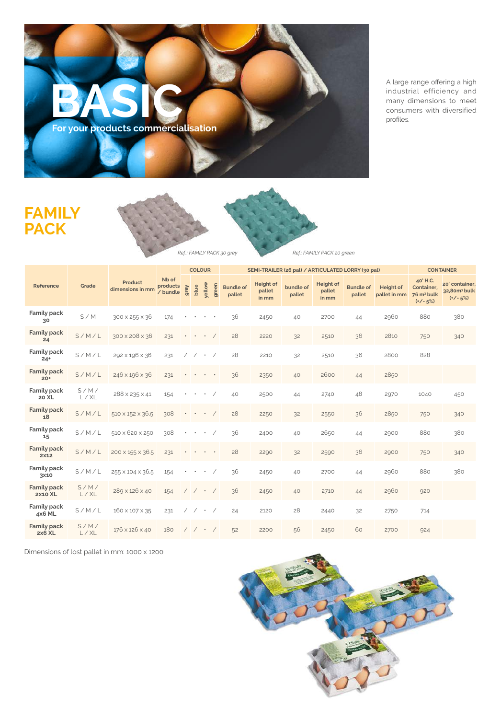

A large range offering a high industrial efficiency and many dimensions to meet consumers with diversified profiles.

## **FAMILY PACK**





|                                      | Grade        | Product<br>dimensions in mm |                               | <b>COLOUR</b> |                          |           |           |                            | SEMI-TRAILER (26 pal) / ARTICULATED LORRY (30 pal) | <b>CONTAINER</b>    |                                     |                            |                                  |                                                              |                                                          |
|--------------------------------------|--------------|-----------------------------|-------------------------------|---------------|--------------------------|-----------|-----------|----------------------------|----------------------------------------------------|---------------------|-------------------------------------|----------------------------|----------------------------------|--------------------------------------------------------------|----------------------------------------------------------|
| Reference                            |              |                             | Nb of<br>products<br>/ bundle | grey          | blue                     | yellow    | green     | <b>Bundle of</b><br>pallet | <b>Height of</b><br>pallet<br>in mm                | bundle of<br>pallet | <b>Height of</b><br>pallet<br>in mm | <b>Bundle of</b><br>pallet | <b>Height of</b><br>pallet in mm | 40'H.C.<br>Container,<br>76 m <sup>3</sup> bulk<br>$(+/-5%)$ | 20' container,<br>32,80m <sup>3</sup> bulk<br>$(*/- 5%)$ |
| Family pack<br>30                    | S/M          | 300 x 255 x 36              | 174                           |               |                          | $\bullet$ | $\bullet$ | 36                         | 2450                                               | 40                  | 2700                                | 44                         | 2960                             | 880                                                          | 380                                                      |
| <b>Family pack</b><br>24             | S/M/L        | 300 x 208 x 36              | 231                           |               | $\bullet$                | $\bullet$ |           | 28                         | 2220                                               | 32                  | 2510                                | 36                         | 2810                             | 750                                                          | 340                                                      |
| Family pack<br>$24+$                 | S/M/L        | 292 × 196 × 36              | 231                           |               | $\overline{\phantom{a}}$ | $\bullet$ |           | 28                         | 2210                                               | 32                  | 2510                                | 36                         | 2800                             | 828                                                          |                                                          |
| <b>Family pack</b><br>$20+$          | S/M/L        | 246 x 196 x 36              | 231                           |               |                          | $\bullet$ | $\bullet$ | 36                         | 2350                                               | 40                  | 2600                                | 44                         | 2850                             |                                                              |                                                          |
| Family pack<br>20 XL                 | S/M/<br>L/XL | 288 x 235 x 41              | 154                           |               | $\bullet$                | $\bullet$ |           | 40                         | 2500                                               | 44                  | 2740                                | 48                         | 2970                             | 1040                                                         | 450                                                      |
| <b>Family pack</b><br>18             | S/M/L        | 510 × 152 × 36,5            | 308                           |               | $\bullet$                | $\bullet$ |           | 28                         | 2250                                               | 32                  | 2550                                | 36                         | 2850                             | 750                                                          | 340                                                      |
| Family pack<br>15                    | S/M/L        | 510 x 620 x 250             | 308                           |               | $\bullet$                | $\bullet$ |           | 36                         | 2400                                               | 40                  | 2650                                | 44                         | 2900                             | 880                                                          | 380                                                      |
| <b>Family pack</b><br>2×12           | S/M/L        | 200 x 155 x 36.5            | 231                           |               |                          | $\bullet$ |           | 28                         | 2290                                               | 32                  | 2590                                | 36                         | 2900                             | 750                                                          | 340                                                      |
| Family pack<br>3×10                  | S/M/L        | 255 × 104 × 36.5            | 154                           |               | $\bullet$                | $\bullet$ |           | 36                         | 2450                                               | 40                  | 2700                                | 44                         | 2960                             | 880                                                          | 380                                                      |
| <b>Family pack</b><br><b>2x10 XL</b> | S/M/<br>L/XL | 289 x 126 x 40              | 154                           |               | $\sqrt{2}$               | $\cdot$ / |           | 36                         | 2450                                               | 40                  | 2710                                | 44                         | 2960                             | 920                                                          |                                                          |
| Family pack<br>4x6 ML                | S/M/L        | 160 × 107 × 35              | 231                           |               | $\overline{\phantom{a}}$ | $\bullet$ |           | 24                         | 2120                                               | 28                  | 2440                                | 32                         | 2750                             | 714                                                          |                                                          |
| <b>Family pack</b><br>$2x6$ XL       | S/M/<br>L/XL | 176 x 126 x 40              | 180                           |               | $\sqrt{2}$               | $\cdot$ / |           | 52                         | 2200                                               | 56                  | 2450                                | 60                         | 2700                             | 924                                                          |                                                          |

Dimensions of lost pallet in mm: 1000 x 1200